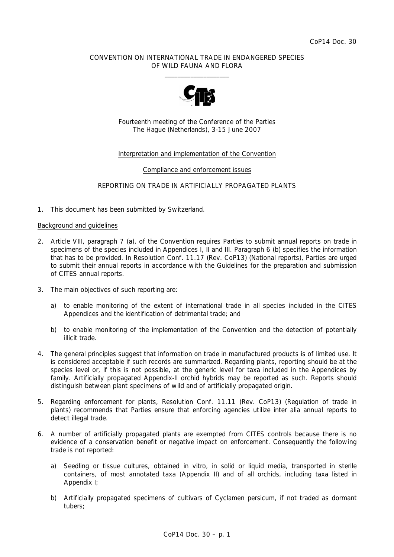## CONVENTION ON INTERNATIONAL TRADE IN ENDANGERED SPECIES OF WILD FAUNA AND FLORA  $\frac{1}{2}$  , and the set of the set of the set of the set of the set of the set of the set of the set of the set of the set of the set of the set of the set of the set of the set of the set of the set of the set of the set



Fourteenth meeting of the Conference of the Parties The Hague (Netherlands), 3-15 June 2007

## Interpretation and implementation of the Convention

#### Compliance and enforcement issues

## REPORTING ON TRADE IN ARTIFICIALLY PROPAGATED PLANTS

1. This document has been submitted by Switzerland.

#### Background and guidelines

- 2. Article VIII, paragraph 7 (a), of the Convention requires Parties to submit annual reports on trade in specimens of the species included in Appendices I, II and III. Paragraph 6 (b) specifies the information that has to be provided. In Resolution Conf. 11.17 (Rev. CoP13) (National reports), Parties are urged to submit their annual reports in accordance with the *Guidelines for the preparation and submission of CITES annual reports*.
- 3. The main objectives of such reporting are:
	- a) to enable monitoring of the extent of international trade in all species included in the CITES Appendices and the identification of detrimental trade; and
	- b) to enable monitoring of the implementation of the Convention and the detection of potentially illicit trade.
- 4. The general principles suggest that information on trade in manufactured products is of limited use. It is considered acceptable if such records are summarized. Regarding plants, reporting should be at the species level or, if this is not possible, at the generic level for taxa included in the Appendices by family. Artificially propagated Appendix-II orchid hybrids may be reported as such. Reports should distinguish between plant specimens of wild and of artificially propagated origin.
- 5. Regarding enforcement for plants, Resolution Conf. 11.11 (Rev. CoP13) (Regulation of trade in plants) recommends that Parties ensure that enforcing agencies utilize *inter alia* annual reports to detect illegal trade.
- 6. A number of artificially propagated plants are exempted from CITES controls because there is no evidence of a conservation benefit or negative impact on enforcement. Consequently the following trade is not reported:
	- a) Seedling or tissue cultures, obtained *in vitro*, in solid or liquid media, transported in sterile containers, of most annotated taxa (Appendix II) and of all orchids, including taxa listed in Appendix I;
	- b) Artificially propagated specimens of cultivars of *Cyclamen persicum*, if not traded as dormant tubers;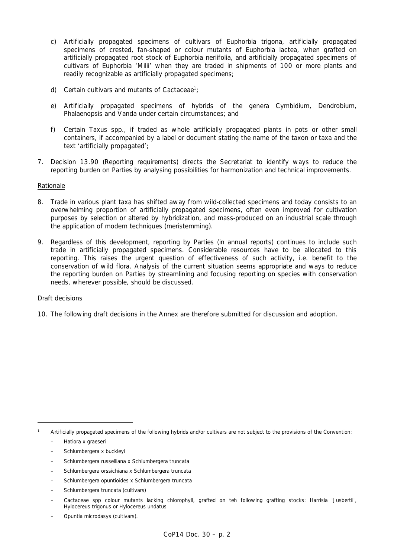- c) Artificially propagated specimens of cultivars of *Euphorbia trigona*, artificially propagated specimens of crested, fan-shaped or colour mutants of *Euphorbia lactea*, when grafted on artificially propagated root stock of *Euphorbia neriifolia*, and artificially propagated specimens of cultivars of *Euphorbia* 'Milii' when they are traded in shipments of 100 or more plants and readily recognizable as artificially propagated specimens;
- d) Certain cultivars and mutants of Cactaceae<sup>1</sup>;
	- e) Artificially propagated specimens of hybrids of the genera *Cymbidium, Dendrobium, Phalaenopsis* and *Vanda* under certain circumstances; and
	- f) Certain *Taxus* spp., if traded as whole artificially propagated plants in pots or other small containers, if accompanied by a label or document stating the name of the taxon or taxa and the text 'artificially propagated';
- 7. Decision 13.90 (Reporting requirements) directs the Secretariat to identify ways to reduce the reporting burden on Parties by analysing possibilities for harmonization and technical improvements.

#### Rationale

- 8. Trade in various plant taxa has shifted away from wild-collected specimens and today consists to an overwhelming proportion of artificially propagated specimens, often even improved for cultivation purposes by selection or altered by hybridization, and mass-produced on an industrial scale through the application of modern techniques (meristemming).
- 9. Regardless of this development, reporting by Parties (in annual reports) continues to include such trade in artificially propagated specimens. Considerable resources have to be allocated to this reporting. This raises the urgent question of effectiveness of such activity, i.e. benefit to the conservation of wild flora. Analysis of the current situation seems appropriate and ways to reduce the reporting burden on Parties by streamlining and focusing reporting on species with conservation needs, wherever possible, should be discussed.

#### Draft decisions

10. The following draft decisions in the Annex are therefore submitted for discussion and adoption.

*1 Artificially propagated specimens of the following hybrids and/or cultivars are not subject to the provisions of the Convention:* 

- *Schlumbergera x buckleyi*
- *Schlumbergera russelliana x Schlumbergera truncata*
- – *Schlumbergera orssichiana x Schlumbergera truncata*
- *Schlumbergera opuntioides x Schlumbergera truncata*
- *Schlumbergera truncata (cultivars)*
- *Cactaceae spp colour mutants lacking chlorophyll, grafted on teh following grafting stocks: Harrisia 'Jusbertii', Hylocereus trigonus or Hylocereus undatus*
- – *Opuntia microdasys (cultivars).*

<sup>–</sup> *Hatiora x graeseri*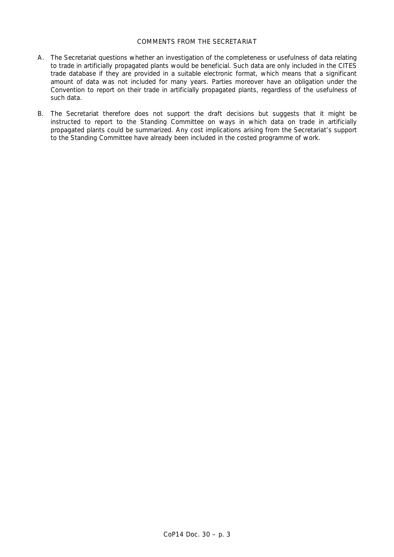# COMMENTS FROM THE SECRETARIAT

- A. The Secretariat questions whether an investigation of the completeness or usefulness of data relating to trade in artificially propagated plants would be beneficial. Such data are only included in the CITES trade database if they are provided in a suitable electronic format, which means that a significant amount of data was not included for many years. Parties moreover have an obligation under the Convention to report on their trade in artificially propagated plants, regardless of the usefulness of such data.
- B. The Secretariat therefore does not support the draft decisions but suggests that it might be instructed to report to the Standing Committee on ways in which data on trade in artificially propagated plants could be summarized. Any cost implications arising from the Secretariat's support to the Standing Committee have already been included in the costed programme of work.